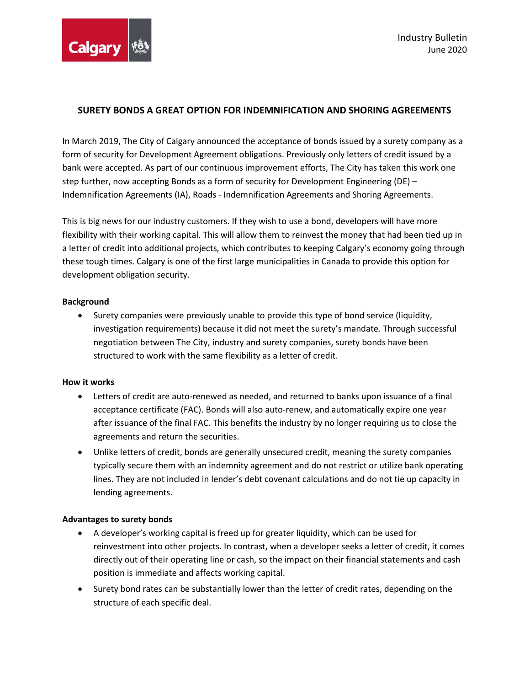

# SURETY BONDS A GREAT OPTION FOR INDEMNIFICATION AND SHORING AGREEMENTS

In March 2019, The City of Calgary announced the acceptance of bonds issued by a surety company as a form of security for Development Agreement obligations. Previously only letters of credit issued by a bank were accepted. As part of our continuous improvement efforts, The City has taken this work one step further, now accepting Bonds as a form of security for Development Engineering (DE) – Indemnification Agreements (IA), Roads - Indemnification Agreements and Shoring Agreements.

This is big news for our industry customers. If they wish to use a bond, developers will have more flexibility with their working capital. This will allow them to reinvest the money that had been tied up in a letter of credit into additional projects, which contributes to keeping Calgary's economy going through these tough times. Calgary is one of the first large municipalities in Canada to provide this option for development obligation security.

## Background

 Surety companies were previously unable to provide this type of bond service (liquidity, investigation requirements) because it did not meet the surety's mandate. Through successful negotiation between The City, industry and surety companies, surety bonds have been structured to work with the same flexibility as a letter of credit.

#### How it works

- Letters of credit are auto-renewed as needed, and returned to banks upon issuance of a final acceptance certificate (FAC). Bonds will also auto-renew, and automatically expire one year after issuance of the final FAC. This benefits the industry by no longer requiring us to close the agreements and return the securities.
- Unlike letters of credit, bonds are generally unsecured credit, meaning the surety companies typically secure them with an indemnity agreement and do not restrict or utilize bank operating lines. They are not included in lender's debt covenant calculations and do not tie up capacity in lending agreements.

## Advantages to surety bonds

- A developer's working capital is freed up for greater liquidity, which can be used for reinvestment into other projects. In contrast, when a developer seeks a letter of credit, it comes directly out of their operating line or cash, so the impact on their financial statements and cash position is immediate and affects working capital.
- Surety bond rates can be substantially lower than the letter of credit rates, depending on the structure of each specific deal.